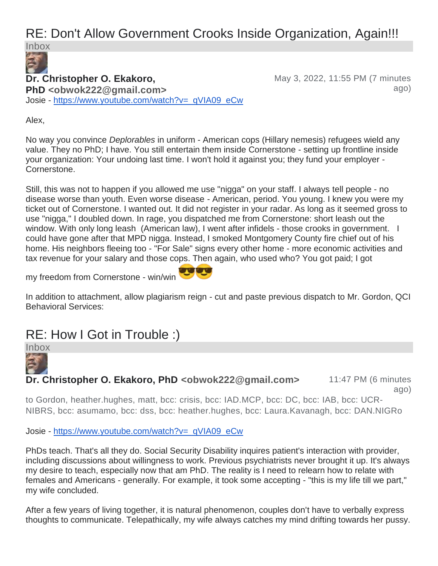# RE: Don't Allow Government Crooks Inside Organization, Again!!!

Inbox

### **Dr. Christopher O. Ekakoro,**

May 3, 2022, 11:55 PM (7 minutes ago)

**PhD <obwok222@gmail.com>** Josie - [https://www.youtube.com/watch?v=\\_qVIA09\\_eCw](https://www.youtube.com/watch?v=_qVIA09_eCw) 

Alex,

No way you convince *Deplorables* in uniform - American cops (Hillary nemesis) refugees wield any value. They no PhD; I have. You still entertain them inside Cornerstone - setting up frontline inside your organization: Your undoing last time. I won't hold it against you; they fund your employer - Cornerstone.

Still, this was not to happen if you allowed me use "nigga" on your staff. I always tell people - no disease worse than youth. Even worse disease - American, period. You young. I knew you were my ticket out of Cornerstone. I wanted out. It did not register in your radar. As long as it seemed gross to use "nigga," I doubled down. In rage, you dispatched me from Cornerstone: short leash out the window. With only long leash (American law), I went after infidels - those crooks in government. I could have gone after that MPD nigga. Instead, I smoked Montgomery County fire chief out of his home. His neighbors fleeing too - "For Sale" signs every other home - more economic activities and tax revenue for your salary and those cops. Then again, who used who? You got paid; I got

my freedom from Cornerstone - win/win



In addition to attachment, allow plagiarism reign - cut and paste previous dispatch to Mr. Gordon, QCI Behavioral Services:

# RE: How I Got in Trouble :)

Inbox

**Dr. Christopher O. Ekakoro, PhD <obwok222@gmail.com>** 11:47 PM (6 minutes ago)

to Gordon, heather.hughes, matt, bcc: crisis, bcc: IAD.MCP, bcc: DC, bcc: IAB, bcc: UCR-NIBRS, bcc: asumamo, bcc: dss, bcc: heather.hughes, bcc: Laura.Kavanagh, bcc: DAN.NIGRo

Josie - [https://www.youtube.com/watch?v=\\_qVIA09\\_eCw](https://www.youtube.com/watch?v=_qVIA09_eCw) 

PhDs teach. That's all they do. Social Security Disability inquires patient's interaction with provider, including discussions about willingness to work. Previous psychiatrists never brought it up. It's always my desire to teach, especially now that am PhD. The reality is I need to relearn how to relate with females and Americans - generally. For example, it took some accepting - "this is my life till we part," my wife concluded.

After a few years of living together, it is natural phenomenon, couples don't have to verbally express thoughts to communicate. Telepathically, my wife always catches my mind drifting towards her pussy.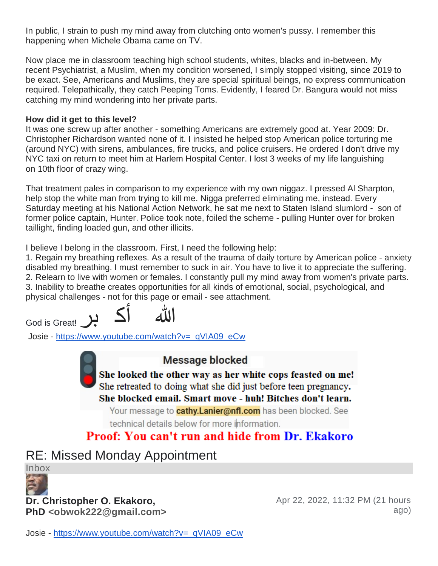In public, I strain to push my mind away from clutching onto women's pussy. I remember this happening when Michele Obama came on TV.

Now place me in classroom teaching high school students, whites, blacks and in-between. My recent Psychiatrist, a Muslim, when my condition worsened, I simply stopped visiting, since 2019 to be exact. See, Americans and Muslims, they are special spiritual beings, no express communication required. Telepathically, they catch Peeping Toms. Evidently, I feared Dr. Bangura would not miss catching my mind wondering into her private parts.

#### **How did it get to this level?**

It was one screw up after another - something Americans are extremely good at. Year 2009: Dr. Christopher Richardson wanted none of it. I insisted he helped stop American police torturing me (around NYC) with sirens, ambulances, fire trucks, and police cruisers. He ordered I don't drive my NYC taxi on return to meet him at Harlem Hospital Center. I lost 3 weeks of my life languishing on 10th floor of crazy wing.

That treatment pales in comparison to my experience with my own niggaz. I pressed Al Sharpton, help stop the white man from trying to kill me. Nigga preferred eliminating me, instead. Every Saturday meeting at his National Action Network, he sat me next to Staten Island slumlord - son of former police captain, Hunter. Police took note, foiled the scheme - pulling Hunter over for broken taillight, finding loaded gun, and other illicits.

I believe I belong in the classroom. First, I need the following help:

1. Regain my breathing reflexes. As a result of the trauma of daily torture by American police - anxiety disabled my breathing. I must remember to suck in air. You have to live it to appreciate the suffering. 2. Relearn to live with women or females. I constantly pull my mind away from women's private parts. 3. Inability to breathe creates opportunities for all kinds of emotional, social, psychological, and physical challenges - not for this page or email - see attachment.

God is Great!

Josie - [https://www.youtube.com/watch?v=\\_qVIA09\\_eCw](https://www.youtube.com/watch?v=_qVIA09_eCw) 

#### **Message blocked**

She looked the other way as her white cops feasted on me! She retreated to doing what she did just before teen pregnancy. She blocked email. Smart move - huh! Bitches don't learn.

Your message to **cathy.Lanier@nfl.com** has been blocked. See

technical details below for more information.

## **Proof: You can't run and hide from Dr. Ekakoro**

## RE: Missed Monday Appointment

Inbox



#### **Dr. Christopher O. Ekakoro,**

**PhD <obwok222@gmail.com>**

Apr 22, 2022, 11:32 PM (21 hours ago)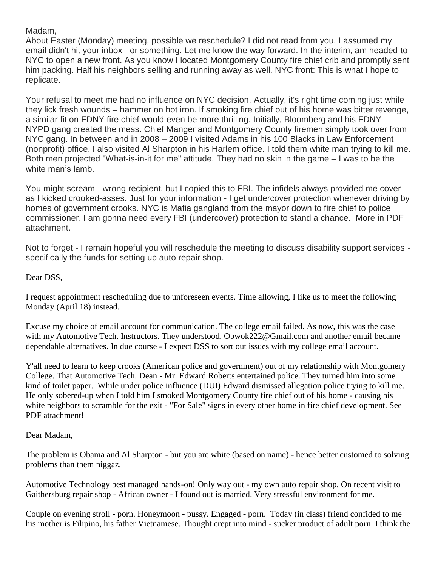Madam,

About Easter (Monday) meeting, possible we reschedule? I did not read from you. I assumed my email didn't hit your inbox - or something. Let me know the way forward. In the interim, am headed to NYC to open a new front. As you know I located Montgomery County fire chief crib and promptly sent him packing. Half his neighbors selling and running away as well. NYC front: This is what I hope to replicate.

Your refusal to meet me had no influence on NYC decision. Actually, it's right time coming just while they lick fresh wounds – hammer on hot iron. If smoking fire chief out of his home was bitter revenge, a similar fit on FDNY fire chief would even be more thrilling. Initially, Bloomberg and his FDNY - NYPD gang created the mess. Chief Manger and Montgomery County firemen simply took over from NYC gang. In between and in 2008 – 2009 I visited Adams in his 100 Blacks in Law Enforcement (nonprofit) office. I also visited Al Sharpton in his Harlem office. I told them white man trying to kill me. Both men projected "What-is-in-it for me" attitude. They had no skin in the game – I was to be the white man's lamb.

You might scream - wrong recipient, but I copied this to FBI. The infidels always provided me cover as I kicked crooked-asses. Just for your information - I get undercover protection whenever driving by homes of government crooks. NYC is Mafia gangland from the mayor down to fire chief to police commissioner. I am gonna need every FBI (undercover) protection to stand a chance. More in PDF attachment.

Not to forget - I remain hopeful you will reschedule the meeting to discuss disability support services specifically the funds for setting up auto repair shop.

Dear DSS,

I request appointment rescheduling due to unforeseen events. Time allowing, I like us to meet the following Monday (April 18) instead.

Excuse my choice of email account for communication. The college email failed. As now, this was the case with my Automotive Tech. Instructors. They understood. Obwok222@Gmail.com and another email became dependable alternatives. In due course - I expect DSS to sort out issues with my college email account.

Y'all need to learn to keep crooks (American police and government) out of my relationship with Montgomery College. That Automotive Tech. Dean - Mr. Edward Roberts entertained police. They turned him into some kind of toilet paper. While under police influence (DUI) Edward dismissed allegation police trying to kill me. He only sobered-up when I told him I smoked Montgomery County fire chief out of his home - causing his white neighbors to scramble for the exit - "For Sale" signs in every other home in fire chief development. See PDF attachment!

Dear Madam,

The problem is Obama and Al Sharpton - but you are white (based on name) - hence better customed to solving problems than them niggaz.

Automotive Technology best managed hands-on! Only way out - my own auto repair shop. On recent visit to Gaithersburg repair shop - African owner - I found out is married. Very stressful environment for me.

Couple on evening stroll - porn. Honeymoon - pussy. Engaged - porn. Today (in class) friend confided to me his mother is Filipino, his father Vietnamese. Thought crept into mind - sucker product of adult porn. I think the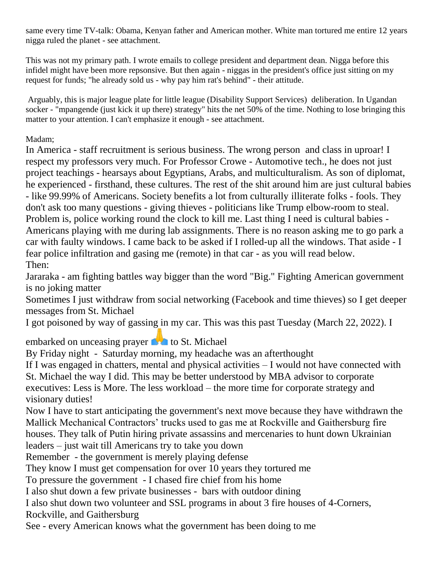same every time TV-talk: Obama, Kenyan father and American mother. White man tortured me entire 12 years nigga ruled the planet - see attachment.

This was not my primary path. I wrote emails to college president and department dean. Nigga before this infidel might have been more repsonsive. But then again - niggas in the president's office just sitting on my request for funds; "he already sold us - why pay him rat's behind" - their attitude.

Arguably, this is major league plate for little league (Disability Support Services) deliberation. In Ugandan socker - "mpangende (just kick it up there) strategy" hits the net 50% of the time. Nothing to lose bringing this matter to your attention. I can't emphasize it enough - see attachment.

Madam;

In America - staff recruitment is serious business. The wrong person and class in uproar! I respect my professors very much. For Professor Crowe - Automotive tech., he does not just project teachings - hearsays about Egyptians, Arabs, and multiculturalism. As son of diplomat, he experienced - firsthand, these cultures. The rest of the shit around him are just cultural babies - like 99.99% of Americans. Society benefits a lot from culturally illiterate folks - fools. They don't ask too many questions - giving thieves - politicians like Trump elbow-room to steal. Problem is, police working round the clock to kill me. Last thing I need is cultural babies - Americans playing with me during lab assignments. There is no reason asking me to go park a car with faulty windows. I came back to be asked if I rolled-up all the windows. That aside - I fear police infiltration and gasing me (remote) in that car - as you will read below. Then:

Jararaka - am fighting battles way bigger than the word "Big." Fighting American government is no joking matter

Sometimes I just withdraw from social networking (Facebook and time thieves) so I get deeper messages from St. Michael

I got poisoned by way of gassing in my car. This was this past Tuesday (March 22, 2022). I

embarked on unceasing prayer  $\bullet$  to St. Michael

By Friday night - Saturday morning, my headache was an afterthought

If I was engaged in chatters, mental and physical activities – I would not have connected with St. Michael the way I did. This may be better understood by MBA advisor to corporate executives: Less is More. The less workload – the more time for corporate strategy and visionary duties!

Now I have to start anticipating the government's next move because they have withdrawn the Mallick Mechanical Contractors' trucks used to gas me at Rockville and Gaithersburg fire houses. They talk of Putin hiring private assassins and mercenaries to hunt down Ukrainian leaders – just wait till Americans try to take you down

Remember - the government is merely playing defense

They know I must get compensation for over 10 years they tortured me

To pressure the government - I chased fire chief from his home

I also shut down a few private businesses - bars with outdoor dining

I also shut down two volunteer and SSL programs in about 3 fire houses of 4-Corners, Rockville, and Gaithersburg

See - every American knows what the government has been doing to me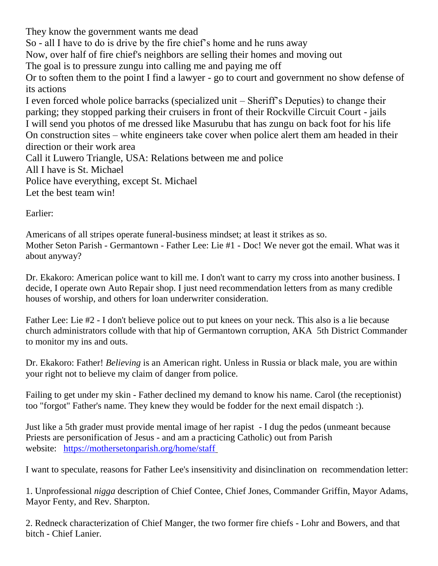They know the government wants me dead So - all I have to do is drive by the fire chief's home and he runs away Now, over half of fire chief's neighbors are selling their homes and moving out The goal is to pressure zungu into calling me and paying me off Or to soften them to the point I find a lawyer - go to court and government no show defense of its actions I even forced whole police barracks (specialized unit – Sheriff's Deputies) to change their parking; they stopped parking their cruisers in front of their Rockville Circuit Court - jails I will send you photos of me dressed like Masurubu that has zungu on back foot for his life On construction sites – white engineers take cover when police alert them am headed in their direction or their work area Call it Luwero Triangle, USA: Relations between me and police All I have is St. Michael Police have everything, except St. Michael Let the best team win!

Earlier:

Americans of all stripes operate funeral-business mindset; at least it strikes as so. Mother Seton Parish - Germantown - Father Lee: Lie #1 - Doc! We never got the email. What was it about anyway?

Dr. Ekakoro: American police want to kill me. I don't want to carry my cross into another business. I decide, I operate own Auto Repair shop. I just need recommendation letters from as many credible houses of worship, and others for loan underwriter consideration.

Father Lee: Lie #2 - I don't believe police out to put knees on your neck. This also is a lie because church administrators collude with that hip of Germantown corruption, AKA 5th District Commander to monitor my ins and outs.

Dr. Ekakoro: Father! *Believing* is an American right. Unless in Russia or black male, you are within your right not to believe my claim of danger from police.

Failing to get under my skin - Father declined my demand to know his name. Carol (the receptionist) too "forgot" Father's name. They knew they would be fodder for the next email dispatch :).

Just like a 5th grader must provide mental image of her rapist - I dug the pedos (unmeant because Priests are personification of Jesus - and am a practicing Catholic) out from Parish website: <https://mothersetonparish.org/home/staff>

I want to speculate, reasons for Father Lee's insensitivity and disinclination on recommendation letter:

1. Unprofessional *nigga* description of Chief Contee, Chief Jones, Commander Griffin, Mayor Adams, Mayor Fenty, and Rev. Sharpton.

2. Redneck characterization of Chief Manger, the two former fire chiefs - Lohr and Bowers, and that bitch - Chief Lanier.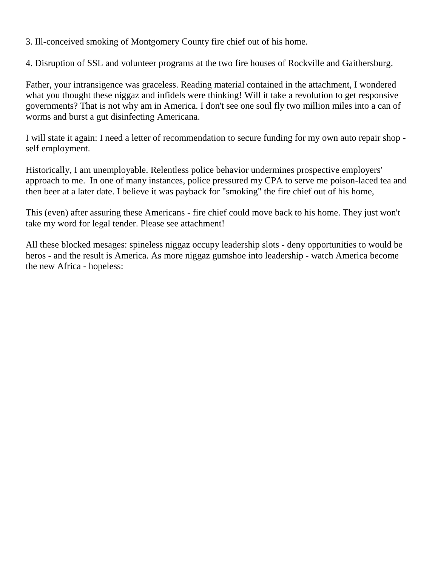3. Ill-conceived smoking of Montgomery County fire chief out of his home.

4. Disruption of SSL and volunteer programs at the two fire houses of Rockville and Gaithersburg.

Father, your intransigence was graceless. Reading material contained in the attachment, I wondered what you thought these niggaz and infidels were thinking! Will it take a revolution to get responsive governments? That is not why am in America. I don't see one soul fly two million miles into a can of worms and burst a gut disinfecting Americana.

I will state it again: I need a letter of recommendation to secure funding for my own auto repair shop self employment.

Historically, I am unemployable. Relentless police behavior undermines prospective employers' approach to me. In one of many instances, police pressured my CPA to serve me poison-laced tea and then beer at a later date. I believe it was payback for "smoking" the fire chief out of his home,

This (even) after assuring these Americans - fire chief could move back to his home. They just won't take my word for legal tender. Please see attachment!

All these blocked mesages: spineless niggaz occupy leadership slots - deny opportunities to would be heros - and the result is America. As more niggaz gumshoe into leadership - watch America become the new Africa - hopeless: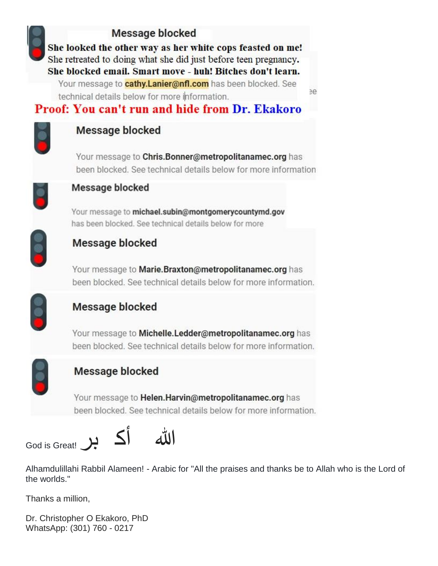## **Message blocked**

She looked the other way as her white cops feasted on me! She retreated to doing what she did just before teen pregnancy. She blocked email. Smart move - huh! Bitches don't learn. Your message to **cathy.Lanier@nfl.com** has been blocked. See

technical details below for more information.

## **Proof: You can't run and hide from Dr. Ekakoro**



#### **Message blocked**

Your message to Chris. Bonner@metropolitanamec.org has been blocked. See technical details below for more information

e



#### Message blocked

Your message to michael.subin@montgomerycountymd.gov has been blocked. See technical details below for more



### **Message blocked**

Your message to Marie. Braxton@metropolitanamec.org has been blocked. See technical details below for more information.



## Message blocked

Your message to Michelle. Ledder@metropolitanamec.org has been blocked. See technical details below for more information.



### **Message blocked**

Your message to Helen. Harvin@metropolitanamec.org has been blocked. See technical details below for more information.



Alhamdulillahi Rabbil Alameen! - Arabic for "All the praises and thanks be to Allah who is the Lord of the worlds."

Thanks a million,

Dr. Christopher O Ekakoro, PhD WhatsApp: (301) 760 - 0217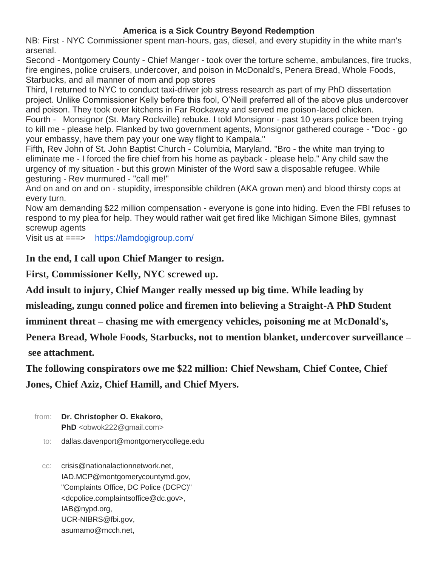#### **America is a Sick Country Beyond Redemption**

NB: First - NYC Commissioner spent man-hours, gas, diesel, and every stupidity in the white man's arsenal.

Second - Montgomery County - Chief Manger - took over the torture scheme, ambulances, fire trucks, fire engines, police cruisers, undercover, and poison in McDonald's, Penera Bread, Whole Foods, Starbucks, and all manner of mom and pop stores

Third, I returned to NYC to conduct taxi-driver job stress research as part of my PhD dissertation project. Unlike Commissioner Kelly before this fool, O'Neill preferred all of the above plus undercover and poison. They took over kitchens in Far Rockaway and served me poison-laced chicken.

Fourth - Monsignor (St. Mary Rockville) rebuke. I told Monsignor - past 10 years police been trying to kill me - please help. Flanked by two government agents, Monsignor gathered courage - "Doc - go your embassy, have them pay your one way flight to Kampala."

Fifth, Rev John of St. John Baptist Church - Columbia, Maryland. "Bro - the white man trying to eliminate me - I forced the fire chief from his home as payback - please help." Any child saw the urgency of my situation - but this grown Minister of the Word saw a disposable refugee. While gesturing - Rev murmured - "call me!"

And on and on and on - stupidity, irresponsible children (AKA grown men) and blood thirsty cops at every turn.

Now am demanding \$22 million compensation - everyone is gone into hiding. Even the FBI refuses to respond to my plea for help. They would rather wait get fired like Michigan Simone Biles, gymnast screwup agents

Visit us at ===> <https://lamdogigroup.com/>

**In the end, I call upon Chief Manger to resign.**

**First, Commissioner Kelly, NYC screwed up.**

**Add insult to injury, Chief Manger really messed up big time. While leading by** 

**misleading, zungu conned police and firemen into believing a Straight-A PhD Student** 

**imminent threat – chasing me with emergency vehicles, poisoning me at McDonald's,** 

**Penera Bread, Whole Foods, Starbucks, not to mention blanket, undercover surveillance – see attachment.**

**The following conspirators owe me \$22 million: Chief Newsham, Chief Contee, Chief** 

**Jones, Chief Aziz, Chief Hamill, and Chief Myers.**

- from: **Dr. Christopher O. Ekakoro,**  PhD <obwok222@gmail.com>
	- to: dallas.davenport@montgomerycollege.edu

cc: crisis@nationalactionnetwork.net, IAD.MCP@montgomerycountymd.gov, "Complaints Office, DC Police (DCPC)" <dcpolice.complaintsoffice@dc.gov>, IAB@nypd.org, UCR-NIBRS@fbi.gov, asumamo@mcch.net,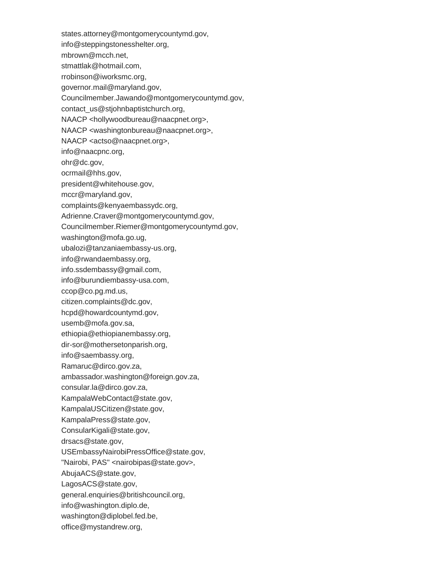states.attorney@montgomerycountymd.gov, info@steppingstonesshelter.org, mbrown@mcch.net, stmattlak@hotmail.com, rrobinson@iworksmc.org, governor.mail@maryland.gov, Councilmember.Jawando@montgomerycountymd.gov, contact\_us@stjohnbaptistchurch.org, NAACP <hollywoodbureau@naacpnet.org>, NAACP <washingtonbureau@naacpnet.org>, NAACP <actso@naacpnet.org>, info@naacpnc.org, ohr@dc.gov, ocrmail@hhs.gov, president@whitehouse.gov, mccr@maryland.gov, complaints@kenyaembassydc.org, Adrienne.Craver@montgomerycountymd.gov, Councilmember.Riemer@montgomerycountymd.gov, washington@mofa.go.ug, ubalozi@tanzaniaembassy-us.org, info@rwandaembassy.org, info.ssdembassy@gmail.com, info@burundiembassy-usa.com, ccop@co.pg.md.us, citizen.complaints@dc.gov, hcpd@howardcountymd.gov, usemb@mofa.gov.sa, ethiopia@ethiopianembassy.org, dir-sor@mothersetonparish.org, info@saembassy.org, Ramaruc@dirco.gov.za, ambassador.washington@foreign.gov.za, consular.la@dirco.gov.za, KampalaWebContact@state.gov, KampalaUSCitizen@state.gov, KampalaPress@state.gov, ConsularKigali@state.gov, drsacs@state.gov, USEmbassyNairobiPressOffice@state.gov, "Nairobi, PAS" <nairobipas@state.gov>, AbujaACS@state.gov, LagosACS@state.gov, general.enquiries@britishcouncil.org, info@washington.diplo.de, washington@diplobel.fed.be, office@mystandrew.org,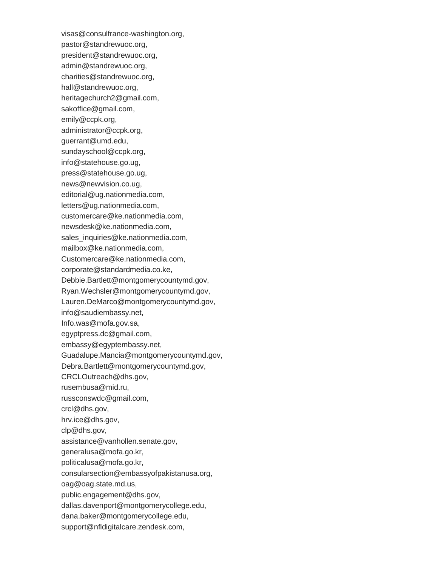visas@consulfrance-washington.org, pastor@standrewuoc.org, president@standrewuoc.org, admin@standrewuoc.org, charities@standrewuoc.org, hall@standrewuoc.org, heritagechurch2@gmail.com, sakoffice@gmail.com, emily@ccpk.org, administrator@ccpk.org, guerrant@umd.edu, sundayschool@ccpk.org, info@statehouse.go.ug, press@statehouse.go.ug, news@newvision.co.ug, editorial@ug.nationmedia.com, letters@ug.nationmedia.com, customercare@ke.nationmedia.com, newsdesk@ke.nationmedia.com, sales\_inquiries@ke.nationmedia.com, mailbox@ke.nationmedia.com, Customercare@ke.nationmedia.com, corporate@standardmedia.co.ke, Debbie.Bartlett@montgomerycountymd.gov, Ryan.Wechsler@montgomerycountymd.gov, Lauren.DeMarco@montgomerycountymd.gov, info@saudiembassy.net, Info.was@mofa.gov.sa, egyptpress.dc@gmail.com, embassy@egyptembassy.net, Guadalupe.Mancia@montgomerycountymd.gov, Debra.Bartlett@montgomerycountymd.gov, CRCLOutreach@dhs.gov, rusembusa@mid.ru, russconswdc@gmail.com, crcl@dhs.gov, hrv.ice@dhs.gov, clp@dhs.gov, assistance@vanhollen.senate.gov, generalusa@mofa.go.kr, politicalusa@mofa.go.kr, consularsection@embassyofpakistanusa.org, oag@oag.state.md.us, public.engagement@dhs.gov, dallas.davenport@montgomerycollege.edu, dana.baker@montgomerycollege.edu, support@nfldigitalcare.zendesk.com,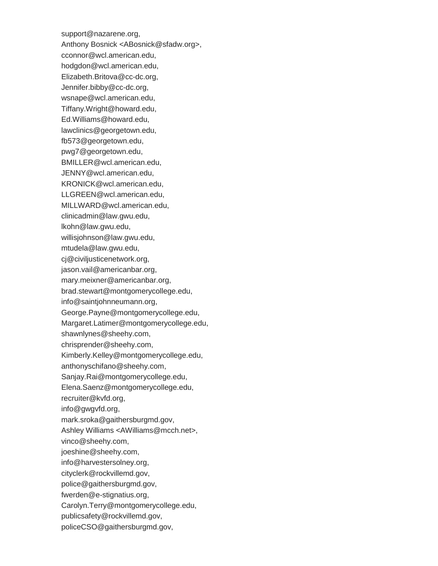support@nazarene.org, Anthony Bosnick <ABosnick@sfadw.org>, cconnor@wcl.american.edu, hodgdon@wcl.american.edu, Elizabeth.Britova@cc-dc.org, Jennifer.bibby@cc-dc.org, wsnape@wcl.american.edu, Tiffany.Wright@howard.edu, Ed.Williams@howard.edu, lawclinics@georgetown.edu, fb573@georgetown.edu, pwg7@georgetown.edu, BMILLER@wcl.american.edu, JENNY@wcl.american.edu, KRONICK@wcl.american.edu, LLGREEN@wcl.american.edu, MILLWARD@wcl.american.edu, clinicadmin@law.gwu.edu, lkohn@law.gwu.edu, willisjohnson@law.gwu.edu, mtudela@law.gwu.edu, cj@civiljusticenetwork.org, jason.vail@americanbar.org, mary.meixner@americanbar.org, brad.stewart@montgomerycollege.edu, info@saintjohnneumann.org, George.Payne@montgomerycollege.edu, Margaret.Latimer@montgomerycollege.edu, shawnlynes@sheehy.com, chrisprender@sheehy.com, Kimberly.Kelley@montgomerycollege.edu, anthonyschifano@sheehy.com, Sanjay.Rai@montgomerycollege.edu, Elena.Saenz@montgomerycollege.edu, recruiter@kvfd.org, info@gwgvfd.org, mark.sroka@gaithersburgmd.gov, Ashley Williams <AWilliams@mcch.net>, vinco@sheehy.com, joeshine@sheehy.com, info@harvestersolney.org, cityclerk@rockvillemd.gov, police@gaithersburgmd.gov, fwerden@e-stignatius.org, Carolyn.Terry@montgomerycollege.edu, publicsafety@rockvillemd.gov, policeCSO@gaithersburgmd.gov,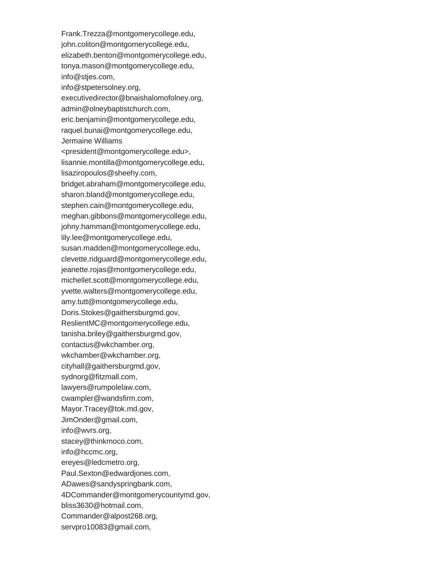Frank.Trezza@montgomerycollege.edu, john.coliton@montgomerycollege.edu, elizabeth.benton@montgomerycollege.edu, tonya.mason@montgomerycollege.edu, info@stjes.com, info@stpetersolney.org, executivedirector@bnaishalomofolney.org, admin@olneybaptistchurch.com, eric.benjamin@montgomerycollege.edu, raquel.bunai@montgomerycollege.edu, Jermaine Williams <president@montgomerycollege.edu>, lisannie.montilla@montgomerycollege.edu, lisaziropoulos@sheehy.com, bridget.abraham@montgomerycollege.edu, sharon.bland@montgomerycollege.edu, stephen.cain@montgomerycollege.edu, meghan.gibbons@montgomerycollege.edu, johny.hamman@montgomerycollege.edu, lily.lee@montgomerycollege.edu, susan.madden@montgomerycollege.edu, clevette.ridguard@montgomerycollege.edu, jeanette.rojas@montgomerycollege.edu, michellet.scott@montgomerycollege.edu, yvette.walters@montgomerycollege.edu, amy.tutt@montgomerycollege.edu, Doris.Stokes@gaithersburgmd.gov, ReslientMC@montgomerycollege.edu, tanisha.briley@gaithersburgmd.gov, contactus@wkchamber.org, wkchamber@wkchamber.org, cityhall@gaithersburgmd.gov, sydnorg@fitzmall.com, lawyers@rumpolelaw.com, cwampler@wandsfirm.com, Mayor.Tracey@tok.md.gov, JimOnder@gmail.com, info@wvrs.org, stacey@thinkmoco.com, info@hccmc.org, ereyes@ledcmetro.org, Paul.Sexton@edwardjones.com, ADawes@sandyspringbank.com, 4DCommander@montgomerycountymd.gov, bliss3630@hotmail.com, Commander@alpost268.org, servpro10083@gmail.com,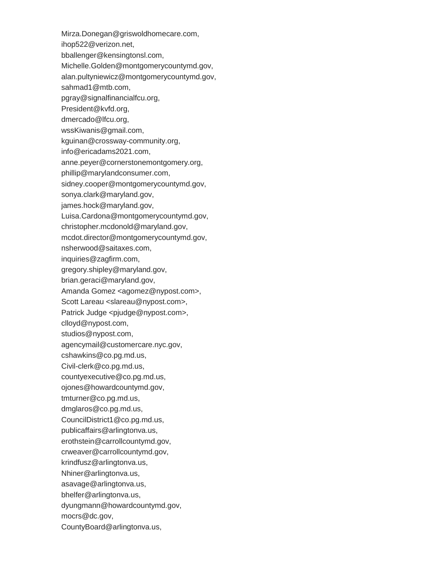- Mirza.Donegan@griswoldhomecare.com,
- ihop522@verizon.net,
- bballenger@kensingtonsl.com,
- Michelle.Golden@montgomerycountymd.gov,
- alan.pultyniewicz@montgomerycountymd.gov,
- sahmad1@mtb.com,
- pgray@signalfinancialfcu.org,
- President@kvfd.org,
- dmercado@lfcu.org,
- wssKiwanis@gmail.com,
- kguinan@crossway-community.org,
- info@ericadams2021.com,
- anne.peyer@cornerstonemontgomery.org,
- phillip@marylandconsumer.com,
- sidney.cooper@montgomerycountymd.gov,
- sonya.clark@maryland.gov,
- james.hock@maryland.gov,
- Luisa.Cardona@montgomerycountymd.gov,
- christopher.mcdonold@maryland.gov,
- mcdot.director@montgomerycountymd.gov,
- nsherwood@saitaxes.com,
- inquiries@zagfirm.com,
- gregory.shipley@maryland.gov,
- brian.geraci@maryland.gov,
- Amanda Gomez <agomez@nypost.com>,
- Scott Lareau <slareau@nypost.com>,
- Patrick Judge <pjudge@nypost.com>,
- clloyd@nypost.com,
- studios@nypost.com,
- agencymail@customercare.nyc.gov,
- cshawkins@co.pg.md.us,
- Civil-clerk@co.pg.md.us,
- countyexecutive@co.pg.md.us,
- ojones@howardcountymd.gov,
- tmturner@co.pg.md.us,
- dmglaros@co.pg.md.us,
- CouncilDistrict1@co.pg.md.us,
- publicaffairs@arlingtonva.us,
- erothstein@carrollcountymd.gov,
- crweaver@carrollcountymd.gov,
- krindfusz@arlingtonva.us,
- Nhiner@arlingtonva.us,
- asavage@arlingtonva.us,
- bhelfer@arlingtonva.us,
- dyungmann@howardcountymd.gov,
- mocrs@dc.gov,
- CountyBoard@arlingtonva.us,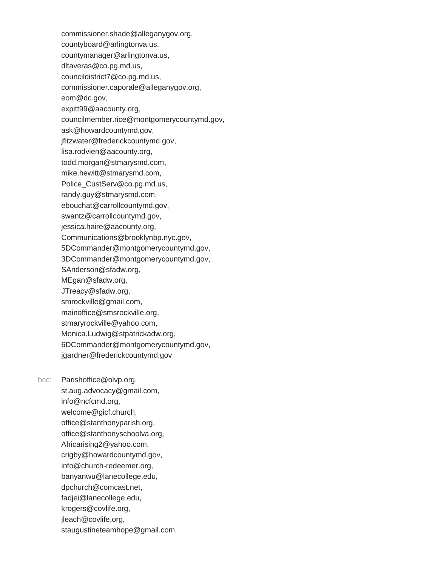commissioner.shade@alleganygov.org, countyboard@arlingtonva.us, countymanager@arlingtonva.us, dltaveras@co.pg.md.us, councildistrict7@co.pg.md.us, commissioner.caporale@alleganygov.org, eom@dc.gov, expitt99@aacounty.org, councilmember.rice@montgomerycountymd.gov, ask@howardcountymd.gov, jfitzwater@frederickcountymd.gov, lisa.rodvien@aacounty.org, todd.morgan@stmarysmd.com, mike.hewitt@stmarysmd.com, Police\_CustServ@co.pg.md.us, randy.guy@stmarysmd.com, ebouchat@carrollcountymd.gov, swantz@carrollcountymd.gov, jessica.haire@aacounty.org, Communications@brooklynbp.nyc.gov, 5DCommander@montgomerycountymd.gov, 3DCommander@montgomerycountymd.gov, SAnderson@sfadw.org, MEgan@sfadw.org, JTreacy@sfadw.org, smrockville@gmail.com, mainoffice@smsrockville.org, stmaryrockville@yahoo.com, Monica.Ludwig@stpatrickadw.org, 6DCommander@montgomerycountymd.gov, jgardner@frederickcountymd.gov

bcc: Parishoffice@olvp.org, st.aug.advocacy@gmail.com, info@ncfcmd.org, welcome@gicf.church, office@stanthonyparish.org, office@stanthonyschoolva.org, Africarising2@yahoo.com, crigby@howardcountymd.gov, info@church-redeemer.org, banyanwu@lanecollege.edu, dpchurch@comcast.net, fadjei@lanecollege.edu, krogers@covlife.org, jleach@covlife.org, staugustineteamhope@gmail.com,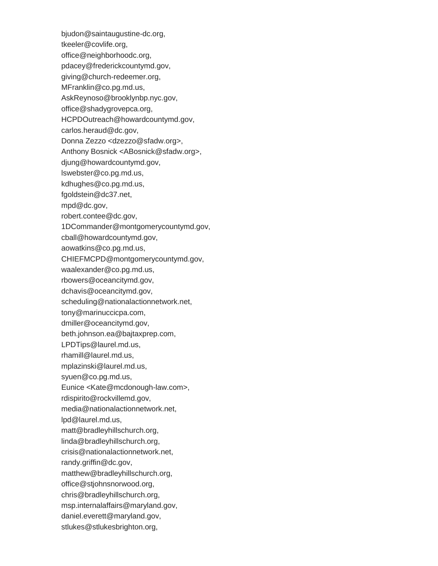bjudon@saintaugustine-dc.org, tkeeler@covlife.org, office@neighborhoodc.org, pdacey@frederickcountymd.gov, giving@church-redeemer.org, MFranklin@co.pg.md.us, AskReynoso@brooklynbp.nyc.gov, office@shadygrovepca.org, HCPDOutreach@howardcountymd.gov, carlos.heraud@dc.gov, Donna Zezzo <dzezzo@sfadw.org>, Anthony Bosnick <ABosnick@sfadw.org>, djung@howardcountymd.gov, lswebster@co.pg.md.us, kdhughes@co.pg.md.us, fgoldstein@dc37.net, mpd@dc.gov, robert.contee@dc.gov, 1DCommander@montgomerycountymd.gov, cball@howardcountymd.gov, aowatkins@co.pg.md.us, CHIEFMCPD@montgomerycountymd.gov, waalexander@co.pg.md.us, rbowers@oceancitymd.gov, dchavis@oceancitymd.gov, scheduling@nationalactionnetwork.net, tony@marinuccicpa.com, dmiller@oceancitymd.gov, beth.johnson.ea@bajtaxprep.com, LPDTips@laurel.md.us, rhamill@laurel.md.us, mplazinski@laurel.md.us, syuen@co.pg.md.us, Eunice <Kate@mcdonough-law.com>, rdispirito@rockvillemd.gov, media@nationalactionnetwork.net, lpd@laurel.md.us, matt@bradleyhillschurch.org, linda@bradleyhillschurch.org, crisis@nationalactionnetwork.net, randy.griffin@dc.gov, matthew@bradleyhillschurch.org, office@stjohnsnorwood.org, chris@bradleyhillschurch.org, msp.internalaffairs@maryland.gov, daniel.everett@maryland.gov, stlukes@stlukesbrighton.org,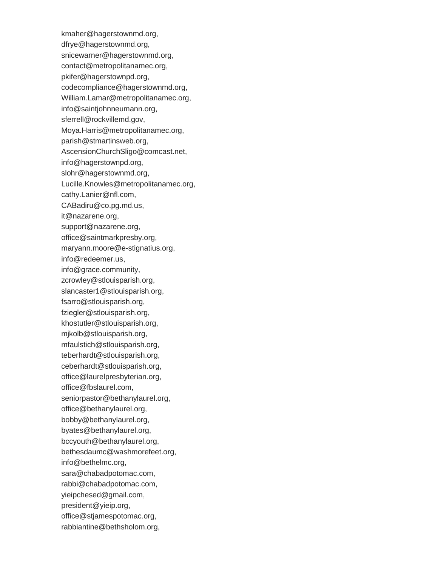kmaher@hagerstownmd.org, dfrye@hagerstownmd.org, snicewarner@hagerstownmd.org, contact@metropolitanamec.org, pkifer@hagerstownpd.org, codecompliance@hagerstownmd.org, William.Lamar@metropolitanamec.org, info@saintjohnneumann.org, sferrell@rockvillemd.gov, Moya.Harris@metropolitanamec.org, parish@stmartinsweb.org, AscensionChurchSligo@comcast.net, info@hagerstownpd.org, slohr@hagerstownmd.org, Lucille.Knowles@metropolitanamec.org, cathy.Lanier@nfl.com, CABadiru@co.pg.md.us, it@nazarene.org, support@nazarene.org, office@saintmarkpresby.org, maryann.moore@e-stignatius.org, info@redeemer.us, info@grace.community, zcrowley@stlouisparish.org, slancaster1@stlouisparish.org, fsarro@stlouisparish.org, fziegler@stlouisparish.org, khostutler@stlouisparish.org, mjkolb@stlouisparish.org, mfaulstich@stlouisparish.org, teberhardt@stlouisparish.org, ceberhardt@stlouisparish.org, office@laurelpresbyterian.org, office@fbslaurel.com, seniorpastor@bethanylaurel.org, office@bethanylaurel.org, bobby@bethanylaurel.org, byates@bethanylaurel.org, bccyouth@bethanylaurel.org, bethesdaumc@washmorefeet.org, info@bethelmc.org, sara@chabadpotomac.com, rabbi@chabadpotomac.com, yieipchesed@gmail.com, president@yieip.org, office@stjamespotomac.org, rabbiantine@bethsholom.org,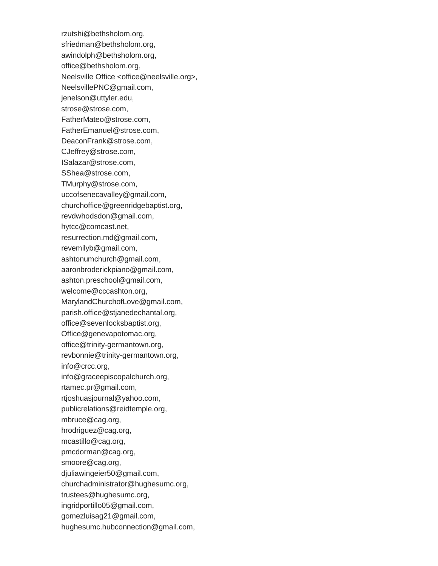rzutshi@bethsholom.org, sfriedman@bethsholom.org, awindolph@bethsholom.org, office@bethsholom.org, Neelsville Office <office@neelsville.org>, NeelsvillePNC@gmail.com, jenelson@uttyler.edu, strose@strose.com, FatherMateo@strose.com, FatherEmanuel@strose.com, DeaconFrank@strose.com, CJeffrey@strose.com, ISalazar@strose.com, SShea@strose.com, TMurphy@strose.com, uccofsenecavalley@gmail.com, churchoffice@greenridgebaptist.org, revdwhodsdon@gmail.com, hytcc@comcast.net, resurrection.md@gmail.com, revemilyb@gmail.com, ashtonumchurch@gmail.com, aaronbroderickpiano@gmail.com, ashton.preschool@gmail.com, welcome@cccashton.org, MarylandChurchofLove@gmail.com, parish.office@stjanedechantal.org, office@sevenlocksbaptist.org, Office@genevapotomac.org, office@trinity-germantown.org, revbonnie@trinity-germantown.org, info@crcc.org, info@graceepiscopalchurch.org, rtamec.pr@gmail.com, rtjoshuasjournal@yahoo.com, publicrelations@reidtemple.org, mbruce@cag.org, hrodriguez@cag.org, mcastillo@cag.org, pmcdorman@cag.org, smoore@cag.org, djuliawingeier50@gmail.com, churchadministrator@hughesumc.org, trustees@hughesumc.org, ingridportillo05@gmail.com, gomezluisag21@gmail.com, hughesumc.hubconnection@gmail.com,